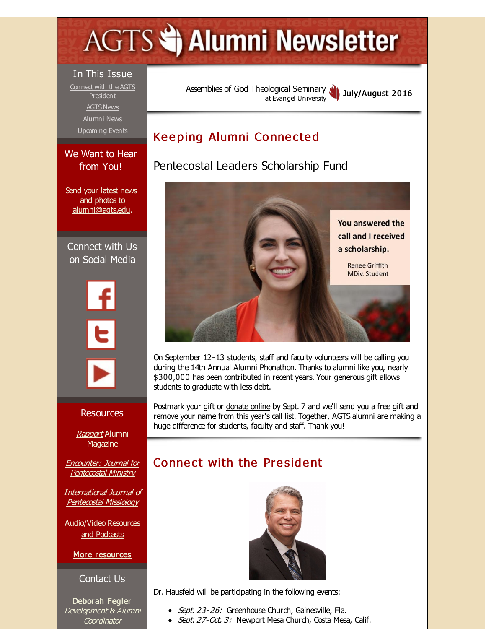# <span id="page-0-0"></span>**AGTS Statement Newsletter**

#### In This Issue

Connect with the AGTS [President](#page-0-0) [AGTS](#page-0-0) News [Alumni](#page-0-0) News [Upcoming](#page-0-0) Events

#### We Want to Hear from You!

Send your latest news and photos to [alumni@agts.edu](mailto:alumni@agts.edu).

Connect with Us on Social Media



#### Resources

**[Rapport](http://r20.rs6.net/tn.jsp?f=001Fco8R1z1iL44NmFpwD_1-WFfzx1EgogTpXOOXfVg0-lzsw3uE7jRr9VNaoPnc1y4n5F3x6iKDtfmX7nYJAv_NBMMzB5wiuOO32iGJ_Jp7L2CKxylkFV5994n5Y-jVCimJ2G50aCfIGH5jzc9HNP6MVAp5Y3aIHMZjs1pF42esJsFR7L8E6U6VWPUNpfHxQzq&c=&ch=)** Alumni **Magazine** 

Encounter: Journal for [Pentecostal](http://r20.rs6.net/tn.jsp?f=001Fco8R1z1iL44NmFpwD_1-WFfzx1EgogTpXOOXfVg0-lzsw3uE7jRr3Y2-VYxufxAjdTJLCRwTelKjOgoffXTiUJKUPYHOE-8z9iEuN9wA8sQs70UcUOMxgORCvQFd2ZgTbEasZV9R6jfNXCDUCVkDRmRAtayRs-699HZtqZlPql2LZDZrJu_2998eLqzStBD&c=&ch=) Ministry

[International](http://r20.rs6.net/tn.jsp?f=001Fco8R1z1iL44NmFpwD_1-WFfzx1EgogTpXOOXfVg0-lzsw3uE7jRr46ZYpJBTOVf3ABPFEXb5MyMdAMc26KAQltHcOvzCAQZUfK1vmuyf4QZ7uwr-MoEk8wNEbkmRS0iqKksdepPTor2QQwYWu9xNw8Ji7piGbATaMYA2tiVYnO2srZ4XREtn1k1eUDPciWb&c=&ch=) Journal of Pentecostal Missiology

[Audio/Video](http://r20.rs6.net/tn.jsp?f=001Fco8R1z1iL44NmFpwD_1-WFfzx1EgogTpXOOXfVg0-lzsw3uE7jRr9mYMe-KT60En4E0MGAmAIYpO_J7y40J_Gn47-JmuaV-_uxHMGhUPPBBV3QyLLMxk98HfZZEZLONsXvMBz4ChoYiR0mezcnwBjkD1biLCHFQ5LcNBEcIT1usJpJDvFVbM6hXR9NVtCIP&c=&ch=) Resources and Podcasts

#### More [resources](http://r20.rs6.net/tn.jsp?f=001Fco8R1z1iL44NmFpwD_1-WFfzx1EgogTpXOOXfVg0-lzsw3uE7jRr529LoELBogUP6JL7hNhi1kDvAchNSr26KXem0HFYmW0K_dmHq04ftBumsTy9SFmYPaMYYh6W9okPtc1WR46thVhjdXqdvl_iBjuSIOF4l5I68Fng253oaoaP7txhtMY0FYRpW1QXyuEswAY7MUrJE0=&c=&ch=)

#### Contact Us

Deborah Fegler Development & Alumni **Coordinator** 

Assemblies of God [Theological](http://r20.rs6.net/tn.jsp?f=001Fco8R1z1iL44NmFpwD_1-WFfzx1EgogTpXOOXfVg0-lzsw3uE7jRr5H1D49OjqqrUrMyfbTDuOzxHGVc8Seng_qNeeD5Zz3z1O0jklarpn5a498KuKe5zCv81EEvbsUJFOGEm2KybY1qfxxySfkXlEHdl3FTwoQy&c=&ch=) Seminary at Evangel University July/August 2016

# Keeping Alumni Connected

# Pentecostal Leaders Scholarship Fund



On September 12-13 students, staff and faculty volunteers will be calling you during the 14th Annual Alumni Phonathon. Thanks to alumni like you, nearly \$300,000 has been contributed in recent years. Your generous gift allows students to graduate with less debt.

Postmark your gift or [donate](http://r20.rs6.net/tn.jsp?f=001Fco8R1z1iL44NmFpwD_1-WFfzx1EgogTpXOOXfVg0-lzsw3uE7jRr6hILmW50BYKg98iWn1PVwud2aH2pOVCq4ygTxe1axXGobtug3Ppxtj92k_C0-tAi0_m_zPHeefZCoDrGxFotXXRcKqi88Afg6A04M51pzNv7qOrM79BTlZB4t0tMnul5Rhb7uX2VteqzuRxURoE8MaGHWzKcB6Wj3wh90kkJ6b4&c=&ch=) online by Sept. 7 and we'll send you a free gift and remove your name from this year's call list. Together, AGTS alumni are making a huge difference for students, faculty and staff. Thank you!

# Connect with the President



Dr. Hausfeld will be participating in the following events:

- Sept. 23-26: Greenhouse Church, Gainesville, Fla.
- Sept. 27-Oct. 3: Newport Mesa Church, Costa Mesa, Calif.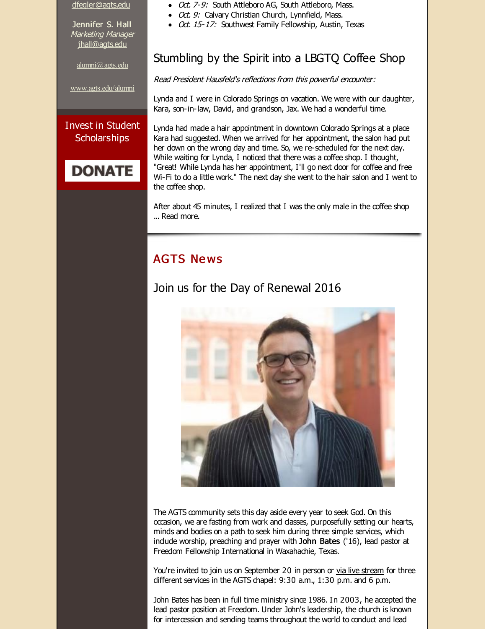[dfegler@agts.edu](mailto:dfegler@agts.edu)

Jennifer S. Hall Marketing Manager [jhall@agts.edu](mailto:jhall@agts.edu)

[alumni@agts.edu](mailto:alumni@agts.edu)

[www.agts.edu/alumni](http://r20.rs6.net/tn.jsp?f=001Fco8R1z1iL44NmFpwD_1-WFfzx1EgogTpXOOXfVg0-lzsw3uE7jRr73WiwSSOs8IcPhB_StKUP-iEDHsZ_uaUEXZXRB6wNuQGmA2PCTbUAnIB-vmzTvNvdNI5yZWezD8wmn4C9NXZprQZSiBhBaNCEjPAFPzgxU63diovTnwPFP6kLEV6EPaBw==&c=&ch=)

#### Invest in Student **Scholarships**



• Oct. 7-9: South Attleboro AG, South Attleboro, Mass.

- Oct. 9: Calvary Christian Church, Lynnfield, Mass.
- Oct. 15-17: Southwest Family Fellowship, Austin, Texas

## Stumbling by the Spirit into a LBGTQ Coffee Shop

Read President Hausfeld's reflections from this powerful encounter:

Lynda and I were in Colorado Springs on vacation. We were with our daughter, Kara, son-in-law, David, and grandson, Jax. We had a wonderful time.

Lynda had made a hair appointment in downtown Colorado Springs at a place Kara had suggested. When we arrived for her appointment, the salon had put her down on the wrong day and time. So, we re-scheduled for the next day. While waiting for Lynda, I noticed that there was a coffee shop. I thought, "Great! While Lynda has her appointment, I'll go next door for coffee and free Wi-Fi to do a little work." The next day she went to the hair salon and I went to the coffee shop.

After about 45 minutes, I realized that I was the only male in the coffee shop ... Read [more.](http://r20.rs6.net/tn.jsp?f=001Fco8R1z1iL44NmFpwD_1-WFfzx1EgogTpXOOXfVg0-lzsw3uE7jRrxVvXw1w2t6U_VGms17g8Rlhog9O1BNZJHG8emD0Q3mVYAWJqvmRrmQAlUSeCHkSMLjx_GeLt-GfbmzPsL-SjekyDot7xdYy4ixZ-ZBEtGHekJ7P0Deqkvgkbj8g8sTxqy4spTg-boZdtL3borabHwwrO9E-hgcl7KqHqQFeiaq9lUalXj7GUav0XZBjV56ytg==&c=&ch=)

## **AGTS News**

## Join us for the Day of Renewal 2016



The AGTS community sets this day aside every year to seek God. On this occasion, we are fasting from work and classes, purposefully setting our hearts, minds and bodies on a path to seek him during three simple services, which indude worship, preaching and prayer with John Bates ('16), lead pastor at Freedom Fellowship International in Waxahachie, Texas.

You're invited to join us on September 20 in person or via live [stream](http://r20.rs6.net/tn.jsp?f=001Fco8R1z1iL44NmFpwD_1-WFfzx1EgogTpXOOXfVg0-lzsw3uE7jRrxVvXw1w2t6UU1PRLrvak4IigWNthmTB4cy0bz5ia1vMcPxnfE906cDgtwb_cU9uQ2wmSkg1ziILug1UfiOFsFOOqzeb-vbw7VevnkFdwS18jw1B606aYYVIJDR09kF0v-nSQ63Wu6PTNJNS-zKgQJVHhXTOSI0xfRRuhLNM0aSv&c=&ch=) for three different services in the AGTS chapel: 9:30 a.m., 1:30 p.m. and 6 p.m.

John Bates has been in full time ministry since 1986. In 2003, he accepted the lead pastor position at Freedom. Under John's leadership, the church is known for intercession and sending teams throughout the world to conduct and lead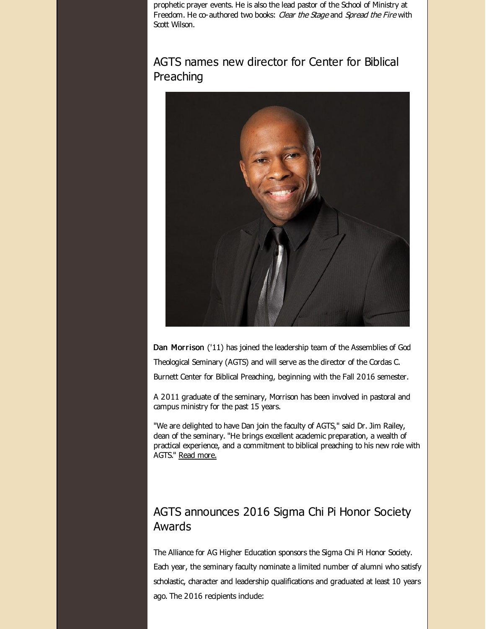prophetic prayer events. He is also the lead pastor of the School of Ministry at Freedom. He co-authored two books: Clear the Stage and Spread the Fire with Scott Wilson.

## AGTS names new director for Center for Biblical Preaching



Dan Morrison ('11) has joined the leadership team of the Assemblies of God Theological Seminary (AGTS) and will serve as the director of the Cordas C. Burnett Center for Biblical Preaching, beginning with the Fall 2016 semester.

A 2011 graduate of the seminary, Morrison has been involved in pastoral and campus ministry for the past 15 years.

"We are delighted to have Dan join the faculty of AGTS," said Dr. Jim Railey, dean of the seminary. "He brings excellent academic preparation, a wealth of practical experience, and a commitment to biblical preaching to his new role with AGTS." Read [more.](http://r20.rs6.net/tn.jsp?f=001Fco8R1z1iL44NmFpwD_1-WFfzx1EgogTpXOOXfVg0-lzsw3uE7jRr8WwjtLFFdTQEqwMqxl1cVRxdGSjM6B816gSiPOjw9qLo_cXl6Nh-JCo1M_TR865Q12asYkLgPxkGMHPnSMvfyYM6hIPErd1sVxc2bFh106NhJm6_cQc7RgpfzQxZUOwnpMDbqM2ddBetvrY4ZoU0cH9JK9Mmp3mA73Ge7k5diVcpLN3hjIFRcTB4Je4ePvvRJh42yUNnMwc&c=&ch=)

#### AGTS announces 2016 Sigma Chi Pi Honor Society Awards

The Alliance for AG Higher Education sponsors the Sigma Chi Pi Honor Society. Each year, the seminary faculty nominate a limited number of alumni who satisfy scholastic, character and leadership qualifications and graduated at least 10 years ago. The 2016 recipients indude: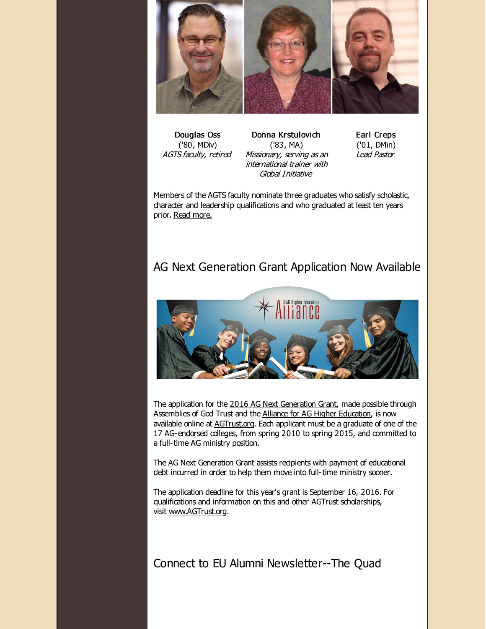

Douglas Oss ('80, MDiv) AGTS faculty, retired

Donna Krstulovich ('83, MA) Missionary, serving as an international trainer with Global Initiative

Earl Creps ('01, DMin) Lead Pastor

Members of the AGTS faculty nominate three graduates who satisfy scholastic, character and leadership qualifications and who graduated at least ten years prior. Read [more.](http://r20.rs6.net/tn.jsp?f=001Fco8R1z1iL44NmFpwD_1-WFfzx1EgogTpXOOXfVg0-lzsw3uE7jRr8WwjtLFFdTQHJnzYC6bWtZRaA2o400RsnWz-3O1SM4yRsuMdfg33V8zupLvd4NshNk3qERLfS2c8Tlsxtwv2cv1dhZf0WmZ0f1WFyFyvYsTT850LJbT655Try1td9LULg4-rIVqHaBqX2ODST23h9haOWFjyzcfrjdRG3MXSGCGKC52h9EZ2Gre2w3BCD4Z7a1eJ_DgciCD&c=&ch=)

## AG Next Generation Grant Application Now Available



The application for the 2016 AG Next [Generation](http://r20.rs6.net/tn.jsp?f=001Fco8R1z1iL44NmFpwD_1-WFfzx1EgogTpXOOXfVg0-lzsw3uE7jRr8WwjtLFFdTQNhK93j0x_5P41EjYmB4Bb6398PmjmR5c86tdwb7HW3iTIy-XhCTxBjfuQ5fe63wuCboEOQkLozr_ApIbI01S5rj5JmS904Cnk_b3NED34_4qWtqNEGRbnfwB7RlvbiXw&c=&ch=) Grant, made possible through Assemblies of God Trust and the Alliance for AG Higher [Education](http://r20.rs6.net/tn.jsp?f=001Fco8R1z1iL44NmFpwD_1-WFfzx1EgogTpXOOXfVg0-lzsw3uE7jRr8WwjtLFFdTQhRqRGkk62Z4URjeOkj7n6xyDUfo7UEPdcKZRie5mkd6wah3KCR-az8ouOKMrFx-3ApLs6XjUw5uupTPuaY13_Zg1vJ39AfpJL7tkgRTmEw4=&c=&ch=), is now available online at **[AGTrust.org](http://r20.rs6.net/tn.jsp?f=001Fco8R1z1iL44NmFpwD_1-WFfzx1EgogTpXOOXfVg0-lzsw3uE7jRr8WwjtLFFdTQzlrRjcgagSSXbtjCddi2DuqcVAwoTjEONREZ8lMBk_3s1PgnRICQmsx5-CubPuF5wbqCU-zWA4tFRR97EknN3Jg1X22wFeg2pWSMvruRmCKk-8G9Bu9XyA==&c=&ch=).** Each applicant must be a graduate of one of the 17 AG-endorsed colleges, from spring 2010 to spring 2015, and committed to a full-time AG ministry position.

The AG Next Generation Grant assists recipients with payment of educational debt incurred in order to help them move into full-time ministry sooner.

The application deadline for this year's grant is September 16, 2016. For qualifications and information on this and other AGTrust scholarships, visit [www.AGTrust.org](http://r20.rs6.net/tn.jsp?f=001Fco8R1z1iL44NmFpwD_1-WFfzx1EgogTpXOOXfVg0-lzsw3uE7jRr4CXR5DT3j7i1swPkUWWLP6hWwO6A0EE0CmF1PYQAYU5Sfa8Zr7d79mWt4ECiq8s-BqVKfSrkqYaDTLo9CgHtgLHkHZe1RS0GilcfEYhKWfuEy2fSgRUERM=&c=&ch=).

Connect to EU Alumni Newsletter--The Quad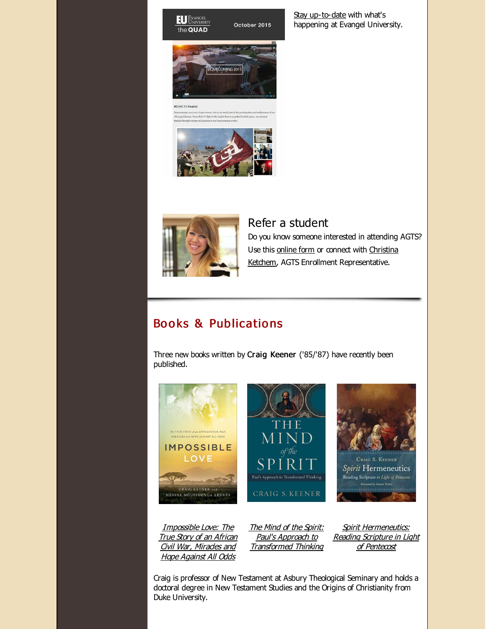#### **EU** EVANGEL the QUAD

OMECOMING 2015

October 2015

#### #EUHC15 Rewind



#### Refer a student

Do you know someone interested in attending AGTS? Use this [online](http://r20.rs6.net/tn.jsp?f=001Fco8R1z1iL44NmFpwD_1-WFfzx1EgogTpXOOXfVg0-lzsw3uE7jRr_VHv_3BBYIxxILyirXQ_fgMMEXeXokf5BkY1iMjy_rYixQm-8pFubdlGa7gsDXCS3u3MvLqlBIJoo0NjFi0IxPEOQpjqn-IwejcaA788dwHtl8boMbzTCNoM_RdOlOYzn3gejRuE9u_&c=&ch=) form or connect with Christina Ketchem, AGTS Enrollment [Representative.](mailto:cketchem@evangel.edu)

## Books & Publications

Three new books written by Craig Keener ('85/'87) have recently been published.



[Impossible](http://r20.rs6.net/tn.jsp?f=001Fco8R1z1iL44NmFpwD_1-WFfzx1EgogTpXOOXfVg0-lzsw3uE7jRr8WwjtLFFdTQT4EQp84KRBislbGHLCUVoL2MEhBb7ZayJ62VPerIB0cqxmLy4crvZs5G-IdsI_BhffZVTOA2BLQ_lD_pbX4KDNcMcxSmuuT6wRPuhbPclTNKb2Eyh-OCpaslS95m1aIBsVW2Li93CgG4uZuB0t6DcRBWlr_1XZTl&c=&ch=) Love: The **True Story of an African** Civil War, Mirades and Hope Against All Odds

The Mind of the Spirit: Paul's Approach to [Transformed](http://r20.rs6.net/tn.jsp?f=001Fco8R1z1iL44NmFpwD_1-WFfzx1EgogTpXOOXfVg0-lzsw3uE7jRr8WwjtLFFdTQ-_62fojcFQbHxwxMXsGVfAwmlrKUHOm94r6BkUZLwfWNY3MhI_7g_LnjktM-iAdCyZ3xsCdTkeVI0Aho2W8x-i20GmxDtNzgRd9aSoFR12B-xconddnSbMPe1TXF6RCJXjNkirfFfZiVWW-Qc9q9DTi0UnNq1KabbC-0itNmx0I=&c=&ch=) Thinking

Spirit [Hermeneutics:](http://r20.rs6.net/tn.jsp?f=001Fco8R1z1iL44NmFpwD_1-WFfzx1EgogTpXOOXfVg0-lzsw3uE7jRr8WwjtLFFdTQ48Rc5we--0rRwQrn-Zf-LztmcUA8qlgbQpDh9w7xQ2HfVZiIJYjcUw4DfMllMzrpqvgvmqkmzfr6PMApBMUvq-5y_s4F4mLjQLzh_EMglEARuiEB4qlAhSVMXk1eyYoA6thtRZ7BRDasv857rmoMji3uYwcitTNFuFjYWhP6bBo=&c=&ch=) Reading Scripture in Light of Pentecost

Craig is professor of New Testament at Asbury Theological Seminary and holds a doctoral degree in New Testament Studies and the Origins of Christianity from Duke University.

Stay [up-to-date](http://r20.rs6.net/tn.jsp?f=001Fco8R1z1iL44NmFpwD_1-WFfzx1EgogTpXOOXfVg0-lzsw3uE7jRr5gkF_P7dreHOwul4HnyiqTCzzcTHJa-Vtvrp0_-ibI-7lR3nEnoT4wD3WOfQ9Ggk4I9c6mRIFCkJP6clL5wrEj1Zq7J0kffDHvm5-54M5orvVtFKUztYKKc-Z5H_Gjwpca4Fyi1_1QuVbw27zrtxJjphmXuPCl00DqcARggiW-TfOrfHQSDk3fKGedeuqWVSL0Xh7CqMTHJfzRVhRasR6Y=&c=&ch=) with what's happening at Evangel University.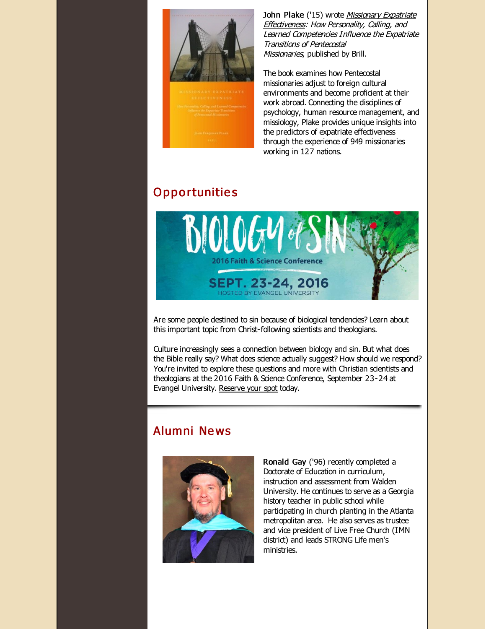

John Plake ('15) wrote Missionary Expatriate [Effectiveness:](http://r20.rs6.net/tn.jsp?f=001Fco8R1z1iL44NmFpwD_1-WFfzx1EgogTpXOOXfVg0-lzsw3uE7jRr8WwjtLFFdTQEuDTsFI0ouWq4yeRXkL4tFdNry-GfGGZf3ZBUGd2ajMW3ikNVCCLM7pw8Jap17hPLgWDhlU_BMyHSQiPmAZzBEtTUI1QmZZWxOBiFIj1Xtg_5GbXpX4aCyK1GpcYVvs2k481GukpvQbvxYxWYw3uBKWHtjtJ2ELvJ17N4jaZuKyaBZR5Itf9GQ==&c=&ch=) How Personality, Calling, and Learned Competencies Influence the Expatriate Transitions of Pentecostal Missionaries, published by Brill.

The book examines how Pentecostal missionaries adjust to foreign cultural environments and become proficient at their work abroad. Connecting the disciplines of psychology, human resource management, and missiology, Plake provides unique insights into the predictors of expatriate effectiveness through the experience of 949 missionaries working in 127 nations.

# **Opportunities**



Are some people destined to sin because of biological tendencies? Learn about this important topic from Christ-following scientists and theologians.

Culture increasingly sees a connection between biology and sin. But what does the Bible really say? What does science actually suggest? How should we respond? You're invited to explore these questions and more with Christian scientists and theologians at the 2016 Faith & Science Conference, September 23-24 at Evangel University. [Reserve](http://r20.rs6.net/tn.jsp?f=001Fco8R1z1iL44NmFpwD_1-WFfzx1EgogTpXOOXfVg0-lzsw3uE7jRr5gkF_P7dreHB957w8WMtbi0axHlOhwQliuuruIQIcLgaMM1WHIBVDCxF2YWh6Aj3X92dvAp5i4TXsRP7kUc0tyUHZXLlFqnaojn_3DHrjrXyA5MogKpAF1jBh6wYmLIAGOujk_QfDaN&c=&ch=) your spot today.

# Alumni Ne ws



Ronald Gay ('96) recently completed a Doctorate of Education in curriculum, instruction and assessment from Walden University. He continues to serve as a Georgia history teacher in public school while participating in church planting in the Atlanta metropolitan area. He also serves as trustee and vice president of Live Free Church (IMN district) and leads STRONG Life men's ministries.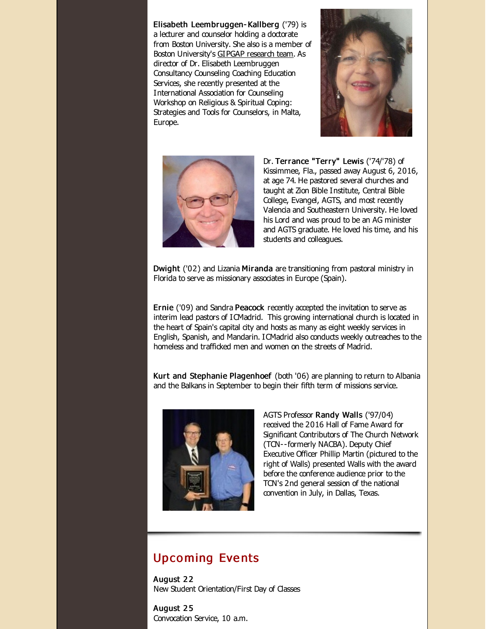Elisabeth Leembruggen- Kallberg ('79) is a lecturer and counselor holding a doctorate from Boston University. She also is a member of Boston University's GIPGAP [research](http://r20.rs6.net/tn.jsp?f=001Fco8R1z1iL44NmFpwD_1-WFfzx1EgogTpXOOXfVg0-lzsw3uE7jRr8WwjtLFFdTQxTiehMS9wfcVtD8UcDEFe3BtzAKN3fqroW2rJiCvSZQsyIa2p_sSBVGOdW6dJi3wlmzpkvtwiG-OyvTq_UUMZ_TaqhXaRLdA3M_XSk1RIAVEq8QaYo7gyurvVSVcNOeU&c=&ch=) team. As director of Dr. Elisabeth Leembruggen Consultancy Counseling Coaching Education Services, she recently presented at the International Association for Counseling Workshop on Religious & Spiritual Coping: Strategies and Tools for Counselors, in Malta, Europe.





Dr. Terrance "Terry" Lewis ('74/'78) of Kissimmee, Fla., passed away August 6, 2016, at age 74. He pastored several churches and taught at Zion Bible Institute, Central Bible College, Evangel, AGTS, and most recently Valencia and Southeastern University. He loved his Lord and was proud to be an AG minister and AGTS graduate. He loved his time, and his students and colleagues.

Dwight ('02) and Lizania Miranda are transitioning from pastoral ministry in Florida to serve as missionary associates in Europe (Spain).

Ernie ('09) and Sandra Peacock recently accepted the invitation to serve as interim lead pastors of ICMadrid. This growing international church is located in the heart of Spain's capital city and hosts as many as eight weekly services in English, Spanish, and Mandarin. ICMadrid also conducts weekly outreaches to the homeless and trafficked men and women on the streets of Madrid.

Kurt and Stephanie Plagenhoef (both '06) are planning to return to Albania and the Balkans in September to begin their fifth term of missions service.



AGTS Professor Randy Walls ('97/04) received the 2016 Hall of Fame Award for Significant Contributors of The Church Network (TCN--formerly NACBA). Deputy Chief Executive Officer Phillip Martin (pictured to the right of Walls) presented Walls with the award before the conference audience prior to the TCN's 2nd general session of the national convention in July, in Dallas, Texas.

#### Upco ming Eve nts

August 22 New Student Orientation/First Day of Classes

August 2 5 Convocation Service, 10 a.m.